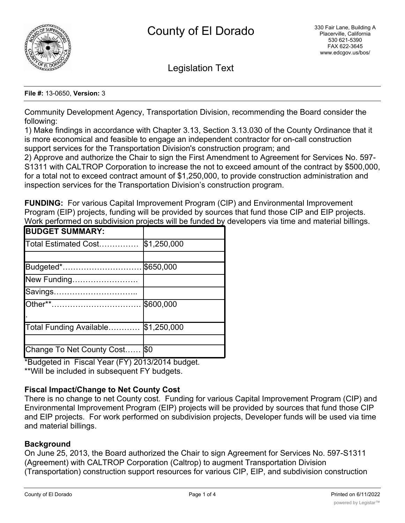

Legislation Text

#### **File #:** 13-0650, **Version:** 3

Community Development Agency, Transportation Division, recommending the Board consider the following:

1) Make findings in accordance with Chapter 3.13, Section 3.13.030 of the County Ordinance that it is more economical and feasible to engage an independent contractor for on-call construction support services for the Transportation Division's construction program; and

2) Approve and authorize the Chair to sign the First Amendment to Agreement for Services No. 597- S1311 with CALTROP Corporation to increase the not to exceed amount of the contract by \$500,000, for a total not to exceed contract amount of \$1,250,000, to provide construction administration and inspection services for the Transportation Division's construction program.

**FUNDING:** For various Capital Improvement Program (CIP) and Environmental Improvement Program (EIP) projects, funding will be provided by sources that fund those CIP and EIP projects. Work performed on subdivision projects will be funded by developers via time and material billings.

| <b>BUDGET SUMMARY:</b>         |             |
|--------------------------------|-------------|
| Total Estimated Cost           | \$1,250,000 |
|                                |             |
| Budgeted*                      | \$650,000   |
| New Funding                    |             |
| Savings                        |             |
|                                | \$600,000   |
| Total Funding Available        | \$1,250,000 |
|                                |             |
| Change To Net County Cost  \$0 |             |

\*Budgeted in Fiscal Year (FY) 2013/2014 budget.

\*\*Will be included in subsequent FY budgets.

## **Fiscal Impact/Change to Net County Cost**

There is no change to net County cost. Funding for various Capital Improvement Program (CIP) and Environmental Improvement Program (EIP) projects will be provided by sources that fund those CIP and EIP projects. For work performed on subdivision projects, Developer funds will be used via time and material billings.

## **Background**

On June 25, 2013, the Board authorized the Chair to sign Agreement for Services No. 597-S1311 (Agreement) with CALTROP Corporation (Caltrop) to augment Transportation Division (Transportation) construction support resources for various CIP, EIP, and subdivision construction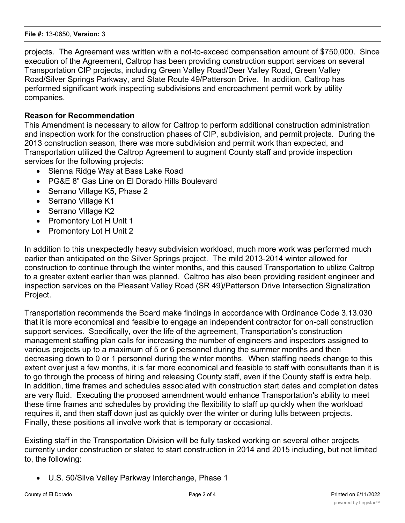#### **File #:** 13-0650, **Version:** 3

projects. The Agreement was written with a not-to-exceed compensation amount of \$750,000. Since execution of the Agreement, Caltrop has been providing construction support services on several Transportation CIP projects, including Green Valley Road/Deer Valley Road, Green Valley Road/Silver Springs Parkway, and State Route 49/Patterson Drive. In addition, Caltrop has performed significant work inspecting subdivisions and encroachment permit work by utility companies.

## **Reason for Recommendation**

This Amendment is necessary to allow for Caltrop to perform additional construction administration and inspection work for the construction phases of CIP, subdivision, and permit projects. During the 2013 construction season, there was more subdivision and permit work than expected, and Transportation utilized the Caltrop Agreement to augment County staff and provide inspection services for the following projects:

- · Sienna Ridge Way at Bass Lake Road
- · PG&E 8" Gas Line on El Dorado Hills Boulevard
- Serrano Village K5, Phase 2
- Serrano Village K1
- Serrano Village K2
- Promontory Lot H Unit 1
- Promontory Lot H Unit 2

In addition to this unexpectedly heavy subdivision workload, much more work was performed much earlier than anticipated on the Silver Springs project. The mild 2013-2014 winter allowed for construction to continue through the winter months, and this caused Transportation to utilize Caltrop to a greater extent earlier than was planned. Caltrop has also been providing resident engineer and inspection services on the Pleasant Valley Road (SR 49)/Patterson Drive Intersection Signalization Project.

Transportation recommends the Board make findings in accordance with Ordinance Code 3.13.030 that it is more economical and feasible to engage an independent contractor for on-call construction support services. Specifically, over the life of the agreement, Transportation's construction management staffing plan calls for increasing the number of engineers and inspectors assigned to various projects up to a maximum of 5 or 6 personnel during the summer months and then decreasing down to 0 or 1 personnel during the winter months. When staffing needs change to this extent over just a few months, it is far more economical and feasible to staff with consultants than it is to go through the process of hiring and releasing County staff, even if the County staff is extra help. In addition, time frames and schedules associated with construction start dates and completion dates are very fluid. Executing the proposed amendment would enhance Transportation's ability to meet these time frames and schedules by providing the flexibility to staff up quickly when the workload requires it, and then staff down just as quickly over the winter or during lulls between projects. Finally, these positions all involve work that is temporary or occasional.

Existing staff in the Transportation Division will be fully tasked working on several other projects currently under construction or slated to start construction in 2014 and 2015 including, but not limited to, the following:

· U.S. 50/Silva Valley Parkway Interchange, Phase 1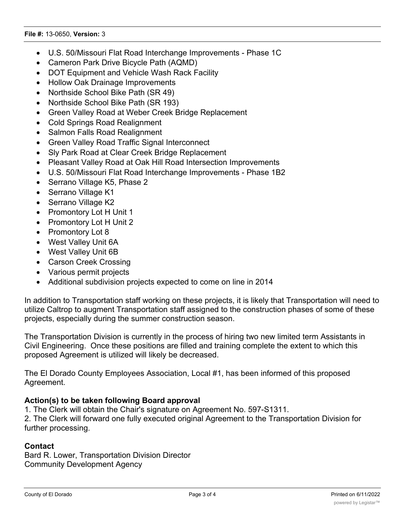#### **File #:** 13-0650, **Version:** 3

- · U.S. 50/Missouri Flat Road Interchange Improvements Phase 1C
- · Cameron Park Drive Bicycle Path (AQMD)
- · DOT Equipment and Vehicle Wash Rack Facility
- · Hollow Oak Drainage Improvements
- Northside School Bike Path (SR 49)
- Northside School Bike Path (SR 193)
- · Green Valley Road at Weber Creek Bridge Replacement
- · Cold Springs Road Realignment
- · Salmon Falls Road Realignment
- · Green Valley Road Traffic Signal Interconnect
- · Sly Park Road at Clear Creek Bridge Replacement
- · Pleasant Valley Road at Oak Hill Road Intersection Improvements
- · U.S. 50/Missouri Flat Road Interchange Improvements Phase 1B2
- Serrano Village K5, Phase 2
- Serrano Village K1
- Serrano Village K2
- Promontory Lot H Unit 1
- · Promontory Lot H Unit 2
- Promontory Lot 8
- · West Valley Unit 6A
- · West Valley Unit 6B
- Carson Creek Crossing
- · Various permit projects
- · Additional subdivision projects expected to come on line in 2014

In addition to Transportation staff working on these projects, it is likely that Transportation will need to utilize Caltrop to augment Transportation staff assigned to the construction phases of some of these projects, especially during the summer construction season.

The Transportation Division is currently in the process of hiring two new limited term Assistants in Civil Engineering. Once these positions are filled and training complete the extent to which this proposed Agreement is utilized will likely be decreased.

The El Dorado County Employees Association, Local #1, has been informed of this proposed Agreement.

## **Action(s) to be taken following Board approval**

1. The Clerk will obtain the Chair's signature on Agreement No. 597-S1311.

2. The Clerk will forward one fully executed original Agreement to the Transportation Division for further processing.

## **Contact**

Bard R. Lower, Transportation Division Director Community Development Agency